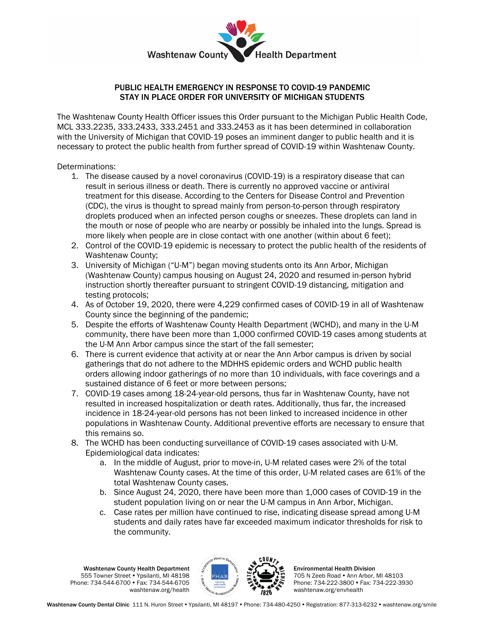

## PUBLIC HEALTH EMERGENCY IN RESPONSE TO COVID-19 PANDEMIC STAY IN PLACE ORDER FOR UNIVERSITY OF MICHIGAN STUDENTS

The Washtenaw County Health Officer issues this Order pursuant to the Michigan Public Health Code, MCL 333.2235, 333.2433, 333.2451 and 333.2453 as it has been determined in collaboration with the University of Michigan that COVID-19 poses an imminent danger to public health and it is necessary to protect the public health from further spread of COVID-19 within Washtenaw County.

Determinations:

- 1. The disease caused by a novel coronavirus (COVID-19) is a respiratory disease that can result in serious illness or death. There is currently no approved vaccine or antiviral treatment for this disease. According to the Centers for Disease Control and Prevention (CDC), the virus is thought to spread mainly from person-to-person through respiratory droplets produced when an infected person coughs or sneezes. These droplets can land in the mouth or nose of people who are nearby or possibly be inhaled into the lungs. Spread is more likely when people are in close contact with one another (within about 6 feet);
- 2. Control of the COVID-19 epidemic is necessary to protect the public health of the residents of Washtenaw County;
- 3. University of Michigan ("U-M") began moving students onto its Ann Arbor, Michigan (Washtenaw County) campus housing on August 24, 2020 and resumed in-person hybrid instruction shortly thereafter pursuant to stringent COVID-19 distancing, mitigation and testing protocols;
- 4. As of October 19, 2020, there were 4,229 confirmed cases of COVID-19 in all of Washtenaw County since the beginning of the pandemic;
- 5. Despite the efforts of Washtenaw County Health Department (WCHD), and many in the U-M community, there have been more than 1,000 confirmed COVID-19 cases among students at the U-M Ann Arbor campus since the start of the fall semester;
- 6. There is current evidence that activity at or near the Ann Arbor campus is driven by social gatherings that do not adhere to the MDHHS epidemic orders and WCHD public health orders allowing indoor gatherings of no more than 10 individuals, with face coverings and a sustained distance of 6 feet or more between persons;
- 7. COVID-19 cases among 18-24-year-old persons, thus far in Washtenaw County, have not resulted in increased hospitalization or death rates. Additionally, thus far, the increased incidence in 18-24-year-old persons has not been linked to increased incidence in other populations in Washtenaw County. Additional preventive efforts are necessary to ensure that this remains so.
- 8. The WCHD has been conducting surveillance of COVID-19 cases associated with U-M. Epidemiological data indicates:
	- a. In the middle of August, prior to move-in, U-M related cases were 2% of the total Washtenaw County cases. At the time of this order, U-M related cases are 61% of the total Washtenaw County cases.
	- b. Since August 24, 2020, there have been more than 1,000 cases of COVID-19 in the student population living on or near the U-M campus in Ann Arbor, Michigan.
	- c. Case rates per million have continued to rise, indicating disease spread among U-M students and daily rates have far exceeded maximum indicator thresholds for risk to the community.

Washtenaw County Health Department 555 Towner Street Ypsilanti, MI 48198 Phone: 734-544-6700 • Fax: 734-544-6705 washtenaw.org/health



Environmental Health Division 705 N Zeeb Road . Ann Arbor, MI 48103 Phone: 734-222-3800 • Fax: 734-222-3930 washtenaw.org/envhealth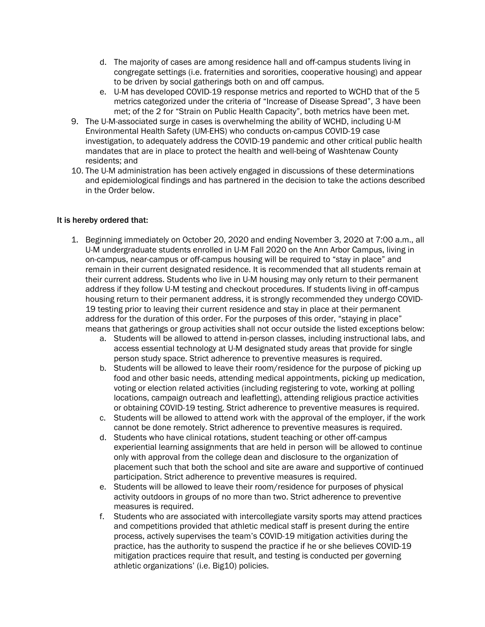- d. The majority of cases are among residence hall and off-campus students living in congregate settings (i.e. fraternities and sororities, cooperative housing) and appear to be driven by social gatherings both on and off campus.
- e. U-M has developed COVID-19 response metrics and reported to WCHD that of the 5 metrics categorized under the criteria of "Increase of Disease Spread", 3 have been met; of the 2 for "Strain on Public Health Capacity", both metrics have been met.
- 9. The U-M-associated surge in cases is overwhelming the ability of WCHD, including U-M Environmental Health Safety (UM-EHS) who conducts on-campus COVID-19 case investigation, to adequately address the COVID-19 pandemic and other critical public health mandates that are in place to protect the health and well-being of Washtenaw County residents; and
- 10. The U-M administration has been actively engaged in discussions of these determinations and epidemiological findings and has partnered in the decision to take the actions described in the Order below.

## It is hereby ordered that:

- 1. Beginning immediately on October 20, 2020 and ending November 3, 2020 at 7:00 a.m., all U-M undergraduate students enrolled in U-M Fall 2020 on the Ann Arbor Campus, living in on-campus, near-campus or off-campus housing will be required to "stay in place" and remain in their current designated residence. It is recommended that all students remain at their current address. Students who live in U-M housing may only return to their permanent address if they follow U-M testing and checkout procedures. If students living in off-campus housing return to their permanent address, it is strongly recommended they undergo COVID-19 testing prior to leaving their current residence and stay in place at their permanent address for the duration of this order. For the purposes of this order, "staying in place" means that gatherings or group activities shall not occur outside the listed exceptions below:
	- a. Students will be allowed to attend in-person classes, including instructional labs, and access essential technology at U-M designated study areas that provide for single person study space. Strict adherence to preventive measures is required.
	- b. Students will be allowed to leave their room/residence for the purpose of picking up food and other basic needs, attending medical appointments, picking up medication, voting or election related activities (including registering to vote, working at polling locations, campaign outreach and leafletting), attending religious practice activities or obtaining COVID-19 testing. Strict adherence to preventive measures is required.
	- c. Students will be allowed to attend work with the approval of the employer, if the work cannot be done remotely. Strict adherence to preventive measures is required.
	- d. Students who have clinical rotations, student teaching or other off-campus experiential learning assignments that are held in person will be allowed to continue only with approval from the college dean and disclosure to the organization of placement such that both the school and site are aware and supportive of continued participation. Strict adherence to preventive measures is required.
	- e. Students will be allowed to leave their room/residence for purposes of physical activity outdoors in groups of no more than two. Strict adherence to preventive measures is required.
	- f. Students who are associated with intercollegiate varsity sports may attend practices and competitions provided that athletic medical staff is present during the entire process, actively supervises the team's COVID-19 mitigation activities during the practice, has the authority to suspend the practice if he or she believes COVID-19 mitigation practices require that result, and testing is conducted per governing athletic organizations' (i.e. Big10) policies.